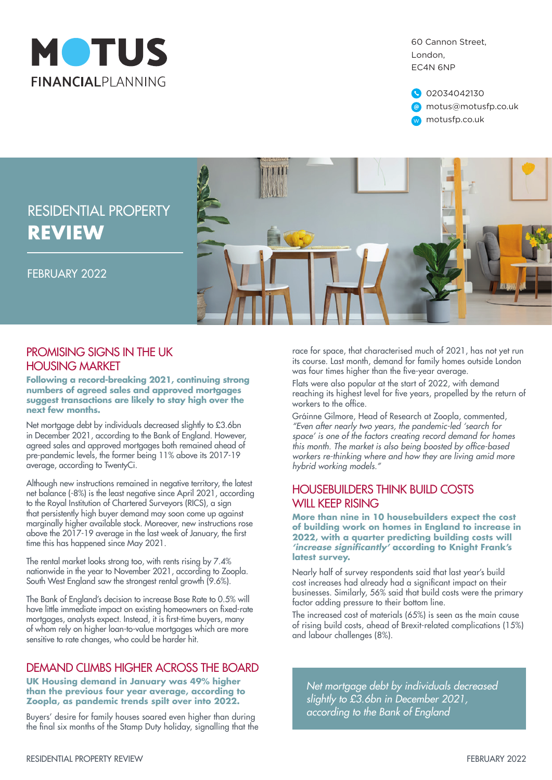

60 Cannon Street, London, EC4N 6NP

02034042130 @ motus@motusfp.co.uk w motusfp.co.uk



#### PROMISING SIGNS IN THE LIK HOUSING MARKET

**Following a record-breaking 2021, continuing strong numbers of agreed sales and approved mortgages suggest transactions are likely to stay high over the next few months.**

Net mortgage debt by individuals decreased slightly to £3.6bn in December 2021, according to the Bank of England. However, agreed sales and approved mortgages both remained ahead of pre-pandemic levels, the former being 11% above its 2017-19 average, according to TwentyCi.

Although new instructions remained in negative territory, the latest net balance (-8%) is the least negative since April 2021, according to the Royal Institution of Chartered Surveyors (RICS), a sign that persistently high buyer demand may soon come up against marginally higher available stock. Moreover, new instructions rose above the 2017-19 average in the last week of January, the first time this has happened since May 2021.

The rental market looks strong too, with rents rising by 7.4% nationwide in the year to November 2021, according to Zoopla. South West England saw the strongest rental growth (9.6%).

The Bank of England's decision to increase Base Rate to 0.5% will have little immediate impact on existing homeowners on fixed-rate mortgages, analysts expect. Instead, it is first-time buyers, many of whom rely on higher loan-to-value mortgages which are more sensitive to rate changes, who could be harder hit.

#### DEMAND CLIMBS HIGHER ACROSS THE BOARD

**UK Housing demand in January was 49% higher than the previous four year average, according to Zoopla, as pandemic trends spilt over into 2022.**

Buyers' desire for family houses soared even higher than during the final six months of the Stamp Duty holiday, signalling that the

race for space, that characterised much of 2021, has not yet run its course. Last month, demand for family homes outside London was four times higher than the five-year average.

Flats were also popular at the start of 2022, with demand reaching its highest level for five years, propelled by the return of workers to the office.

Gráinne Gilmore, Head of Research at Zoopla, commented, *"Even after nearly two years, the pandemic-led 'search for space' is one of the factors creating record demand for homes*  this month. The market is also being boosted by office-based *workers re-thinking where and how they are living amid more hybrid working models."*

#### HOUSEBUILDERS THINK BUILD COSTS WILL KEEP RISING

**More than nine in 10 housebuilders expect the cost of building work on homes in England to increase in 2022, with a quarter predicting building costs will 'increase significantly' according to Knight Frank's latest survey.**

Nearly half of survey respondents said that last year's build cost increases had already had a significant impact on their businesses. Similarly, 56% said that build costs were the primary factor adding pressure to their bottom line.

The increased cost of materials (65%) is seen as the main cause of rising build costs, ahead of Brexit-related complications (15%) and labour challenges (8%).

*Net mortgage debt by individuals decreased slightly to £3.6bn in December 2021, according to the Bank of England*